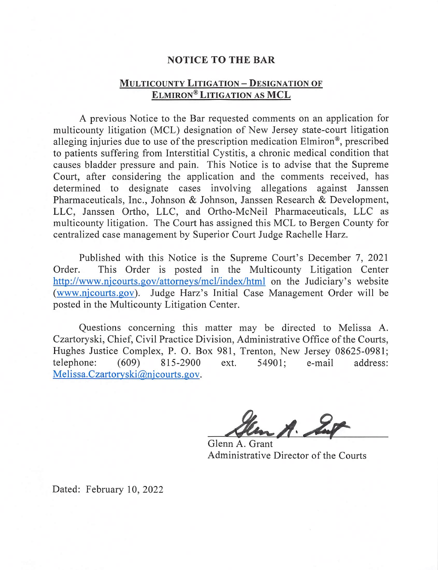## **NOTICE TO THE BAR**

## **MULTICOUNTY LITIGATION-DESIGNATION OF ELMIRON®LITIGATION AS MCL**

A previous Notice to the Bar requested comments on an application for multicounty litigation (MCL) designation of New Jersey state-court litigation alleging injuries due to use of the prescription medication Elmiron®, prescribed to patients suffering from Interstitial Cystitis, a chronic medical condition that causes bladder pressure and pain. This Notice is to advise that the Supreme Court, after considering the application and the comments received, has determined to designate cases involving allegations against Janssen Pharmaceuticals, Inc., Johnson & Johnson, Janssen Research & Development, LLC, Janssen Ortho, LLC, and Ortho-McNeil Pharmaceuticals, LLC as multicounty litigation. The Court has assigned this MCL to Bergen County for centralized case management by Superior Court Judge Rachelle Harz.

Published with this Notice is the Supreme Court's December 7, 2021 Order. This Order is posted in the Multicounty Litigation Center http://www.njcourts.gov/attorneys/mcl/index/html on the Judiciary's website (www.njcourts.gov). Judge Harz's Initial Case Management Order will be posted in the Multicounty Litigation Center.

Questions concerning this matter may be directed to Melissa A. Czartoryski, Chief, Civil Practice Division, Administrative Office of the Courts, Hughes Justice Complex, P. O. Box 981, Trenton, New Jersey 08625-0981; telephone: (609) 815-2900 ext. 54901; e-mail address: Melissa. Czartoryski@njcourts.gov.

 $A.$ 

Glenn A. Grant Administrative Director of the Courts

Dated: February 10, 2022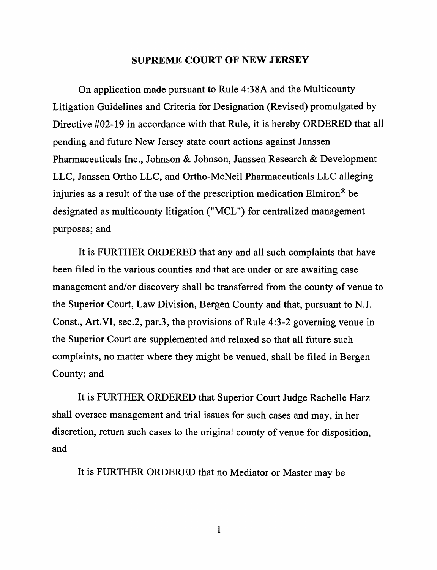## **SUPREME COURT OF NEW JERSEY**

On application made pursuant to Rule 4:38A and the Multicounty Litigation Guidelines and Criteria for Designation (Revised) promulgated by Directive #02-19 in accordance with that Rule, it is hereby ORDERED that all pending and future New Jersey state court actions against Janssen Pharmaceuticals Inc., Johnson & Johnson, Janssen Research & Development LLC, Janssen Ortho LLC, and Ortho-McNeil Pharmaceuticals LLC alleging injuries as a result of the use of the prescription medication Elmiron® be designated as multicounty litigation ("MCL ") for centralized management purposes; and

It is FURTHER ORDERED that any and all such complaints that have been filed in the various counties and that are under or are awaiting case management and/or discovery shall be transferred from the county of venue to the Superior Court, Law Division, Bergen County and that, pursuant to N.J. Const., Art.VI, sec.2, par.3, the provisions of Rule 4:3-2 governing venue in the Superior Court are supplemented and relaxed so that all future such complaints, no matter where they might be venued, shall be filed in Bergen County; and

It is FURTHER ORDERED that Superior Court Judge Rachelle Harz shall oversee management and trial issues for such cases and may, in her discretion, return such cases to the original county of venue for disposition, and

It is FURTHER ORDERED that no Mediator or Master may be

1